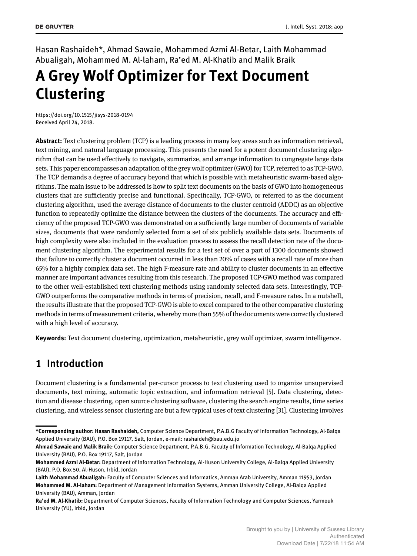Hasan Rashaideh\*, Ahmad Sawaie, Mohammed Azmi Al-Betar, Laith Mohammad Abualigah, Mohammed M. Al-laham, Ra'ed M. Al-Khatib and Malik Braik

# **A Grey Wolf Optimizer for Text Document Clustering**

https://doi.org/10.1515/jisys-2018-0194 Received April 24, 2018.

**Abstract:** Text clustering problem (TCP) is a leading process in many key areas such as information retrieval, text mining, and natural language processing. This presents the need for a potent document clustering algorithm that can be used effectively to navigate, summarize, and arrange information to congregate large data sets. This paper encompasses an adaptation of the grey wolf optimizer (GWO) for TCP, referred to as TCP-GWO. The TCP demands a degree of accuracy beyond that which is possible with metaheuristic swarm-based algorithms. The main issue to be addressed is how to split text documents on the basis of GWO into homogeneous clusters that are sufficiently precise and functional. Specifically, TCP-GWO, or referred to as the document clustering algorithm, used the average distance of documents to the cluster centroid (ADDC) as an objective function to repeatedly optimize the distance between the clusters of the documents. The accuracy and efficiency of the proposed TCP-GWO was demonstrated on a sufficiently large number of documents of variable sizes, documents that were randomly selected from a set of six publicly available data sets. Documents of high complexity were also included in the evaluation process to assess the recall detection rate of the document clustering algorithm. The experimental results for a test set of over a part of 1300 documents showed that failure to correctly cluster a document occurred in less than 20% of cases with a recall rate of more than 65% for a highly complex data set. The high F-measure rate and ability to cluster documents in an effective manner are important advances resulting from this research. The proposed TCP-GWO method was compared to the other well-established text clustering methods using randomly selected data sets. Interestingly, TCP-GWO outperforms the comparative methods in terms of precision, recall, and F-measure rates. In a nutshell, the results illustrate that the proposed TCP-GWO is able to excel compared to the other comparative clustering methods in terms of measurement criteria, whereby more than 55% of the documents were correctly clustered with a high level of accuracy.

**Keywords:** Text document clustering, optimization, metaheuristic, grey wolf optimizer, swarm intelligence.

# **1 Introduction**

Document clustering is a fundamental per-cursor process to text clustering used to organize unsupervised documents, text mining, automatic topic extraction, and information retrieval [5]. Data clustering, detection and disease clustering, open source clustering software, clustering the search engine results, time series clustering, and wireless sensor clustering are but a few typical uses of text clustering [31]. Clustering involves

**<sup>\*</sup>Corresponding author: Hasan Rashaideh,** Computer Science Department, P.A.B.G Faculty of Information Technology, Al-Balqa Applied University (BAU), P.O. Box 19117, Salt, Jordan, e-mail: rashaideh@bau.edu.jo

**Ahmad Sawaie and Malik Braik:** Computer Science Department, P.A.B.G. Faculty of Information Technology, Al-Balqa Applied University (BAU), P.O. Box 19117, Salt, Jordan

**Mohammed Azmi Al-Betar:** Department of Information Technology, Al-Huson University College, Al-Balqa Applied University (BAU), P.O. Box 50, Al-Huson, Irbid, Jordan

**Laith Mohammad Abualigah:** Faculty of Computer Sciences and Informatics, Amman Arab University, Amman 11953, Jordan **Mohammed M. Al-laham:** Department of Management Information Systems, Amman University College, Al-Balqa Applied University (BAU), Amman, Jordan

**Ra'ed M. Al-Khatib:** Department of Computer Sciences, Faculty of Information Technology and Computer Sciences, Yarmouk University (YU), Irbid, Jordan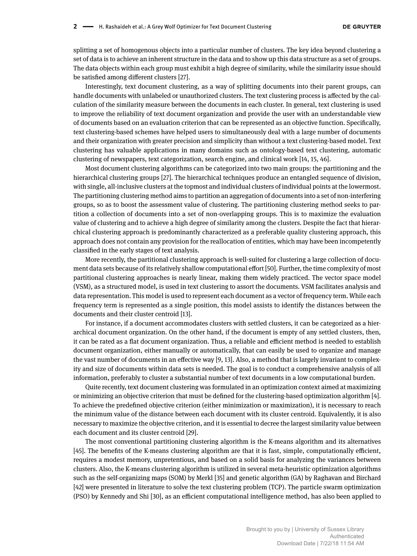splitting a set of homogenous objects into a particular number of clusters. The key idea beyond clustering a set of data is to achieve an inherent structure in the data and to show up this data structure as a set of groups. The data objects within each group must exhibit a high degree of similarity, while the similarity issue should be satisfied among different clusters [27].

Interestingly, text document clustering, as a way of splitting documents into their parent groups, can handle documents with unlabeled or unauthorized clusters. The text clustering process is affected by the calculation of the similarity measure between the documents in each cluster. In general, text clustering is used to improve the reliability of text document organization and provide the user with an understandable view of documents based on an evaluation criterion that can be represented as an objective function. Specifically, text clustering-based schemes have helped users to simultaneously deal with a large number of documents and their organization with greater precision and simplicity than without a text clustering-based model. Text clustering has valuable applications in many domains such as ontology-based text clustering, automatic clustering of newspapers, text categorization, search engine, and clinical work [14, 15, 46].

Most document clustering algorithms can be categorized into two main groups: the partitioning and the hierarchical clustering groups [27]. The hierarchical techniques produce an entangled sequence of division, with single, all-inclusive clusters at the topmost and individual clusters of individual points at the lowermost. The partitioning clustering method aims to partition an aggregation of documents into a set of non-interfering groups, so as to boost the assessment value of clustering. The partitioning clustering method seeks to partition a collection of documents into a set of non-overlapping groups. This is to maximize the evaluation value of clustering and to achieve a high degree of similarity among the clusters. Despite the fact that hierarchical clustering approach is predominantly characterized as a preferable quality clustering approach, this approach does not contain any provision for the reallocation of entities, which may have been incompetently classified in the early stages of text analysis.

More recently, the partitional clustering approach is well-suited for clustering a large collection of document data sets because of its relatively shallow computational effort [50]. Further, the time complexity of most partitional clustering approaches is nearly linear, making them widely practiced. The vector space model (VSM), as a structured model, is used in text clustering to assort the documents. VSM facilitates analysis and data representation. This model is used to represent each document as a vector of frequency term. While each frequency term is represented as a single position, this model assists to identify the distances between the documents and their cluster centroid [13].

For instance, if a document accommodates clusters with settled clusters, it can be categorized as a hierarchical document organization. On the other hand, if the document is empty of any settled clusters, then, it can be rated as a flat document organization. Thus, a reliable and efficient method is needed to establish document organization, either manually or automatically, that can easily be used to organize and manage the vast number of documents in an effective way [9, 13]. Also, a method that is largely invariant to complexity and size of documents within data sets is needed. The goal is to conduct a comprehensive analysis of all information, preferably to cluster a substantial number of text documents in a low computational burden.

Quite recently, text document clustering was formulated in an optimization context aimed at maximizing or minimizing an objective criterion that must be defined for the clustering-based optimization algorithm [4]. To achieve the predefined objective criterion (either minimization or maximization), it is necessary to reach the minimum value of the distance between each document with its cluster centroid. Equivalently, it is also necessary to maximize the objective criterion, and it is essential to decree the largest similarity value between each document and its cluster centroid [29].

The most conventional partitioning clustering algorithm is the K-means algorithm and its alternatives [45]. The benefits of the K-means clustering algorithm are that it is fast, simple, computationally efficient, requires a modest memory, unpretentious, and based on a solid basis for analyzing the variances between clusters. Also, the K-means clustering algorithm is utilized in several meta-heuristic optimization algorithms such as the self-organizing maps (SOM) by Merkl [35] and genetic algorithm (GA) by Raghavan and Birchard [42] were presented in literature to solve the text clustering problem (TCP). The particle swarm optimization (PSO) by Kennedy and Shi [30], as an efficient computational intelligence method, has also been applied to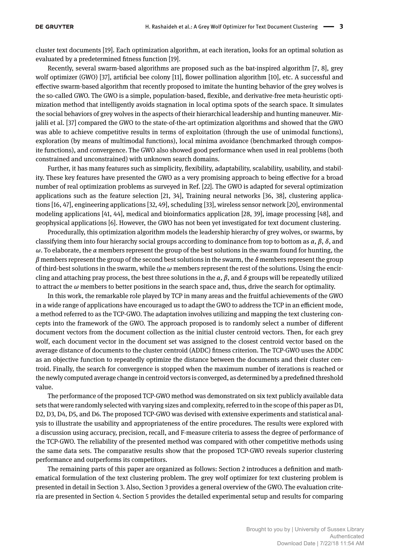cluster text documents [19]. Each optimization algorithm, at each iteration, looks for an optimal solution as evaluated by a predetermined fitness function [19].

Recently, several swarm-based algorithms are proposed such as the bat-inspired algorithm [7, 8], grey wolf optimizer (GWO) [37], artificial bee colony [11], flower pollination algorithm [10], etc. A successful and effective swarm-based algorithm that recently proposed to imitate the hunting behavior of the grey wolves is the so-called GWO. The GWO is a simple, population-based, flexible, and derivative-free meta-heuristic optimization method that intelligently avoids stagnation in local optima spots of the search space. It simulates the social behaviors of grey wolves in the aspects of their hierarchical leadership and hunting maneuver. Mirjalili et al. [37] compared the GWO to the state-of-the-art optimization algorithms and showed that the GWO was able to achieve competitive results in terms of exploitation (through the use of unimodal functions), exploration (by means of multimodal functions), local minima avoidance (benchmarked through composite functions), and convergence. The GWO also showed good performance when used in real problems (both constrained and unconstrained) with unknown search domains.

Further, it has many features such as simplicity, flexibility, adaptability, scalability, usability, and stability. These key features have presented the GWO as a very promising approach to being effective for a broad number of real optimization problems as surveyed in Ref. [22]. The GWO is adapted for several optimization applications such as the feature selection [21, 34], Training neural networks [36, 38], clustering applications [16, 47], engineering applications [32, 49], scheduling [33], wireless sensor network [20], environmental modeling applications [41, 44], medical and bioinformatics application [28, 39], image processing [48], and geophysical applications [6]. However, the GWO has not been yet investigated for text document clustering.

Procedurally, this optimization algorithm models the leadership hierarchy of grey wolves, or swarms, by classifying them into four hierarchy social groups according to dominance from top to bottom as *α*, *β*, *δ*, and *ω*. To elaborate, the *α* members represent the group of the best solutions in the swarm found for hunting, the *β* members represent the group of the second best solutions in the swarm, the *δ* members represent the group of third-best solutions in the swarm, while the *ω* members represent the rest of the solutions. Using the encircling and attaching pray process, the best three solutions in the *α*, *β*, and *δ* groups will be repeatedly utilized to attract the  $\omega$  members to better positions in the search space and, thus, drive the search for optimality.

In this work, the remarkable role played by TCP in many areas and the fruitful achievements of the GWO in a wide range of applications have encouraged us to adapt the GWO to address the TCP in an efficient mode, a method referred to as the TCP-GWO. The adaptation involves utilizing and mapping the text clustering concepts into the framework of the GWO. The approach proposed is to randomly select a number of different document vectors from the document collection as the initial cluster centroid vectors. Then, for each grey wolf, each document vector in the document set was assigned to the closest centroid vector based on the average distance of documents to the cluster centroid (ADDC) fitness criterion. The TCP-GWO uses the ADDC as an objective function to repeatedly optimize the distance between the documents and their cluster centroid. Finally, the search for convergence is stopped when the maximum number of iterations is reached or the newly computed average change in centroid vectors is converged, as determined by a predefined threshold value.

The performance of the proposed TCP-GWO method was demonstrated on six text publicly available data sets that were randomly selected with varying sizes and complexity, referred to in the scope of this paper as D1, D2, D3, D4, D5, and D6. The proposed TCP-GWO was devised with extensive experiments and statistical analysis to illustrate the usability and appropriateness of the entire procedures. The results were explored with a discussion using accuracy, precision, recall, and F-measure criteria to assess the degree of performance of the TCP-GWO. The reliability of the presented method was compared with other competitive methods using the same data sets. The comparative results show that the proposed TCP-GWO reveals superior clustering performance and outperforms its competitors.

The remaining parts of this paper are organized as follows: Section 2 introduces a definition and mathematical formulation of the text clustering problem. The grey wolf optimizer for text clustering problem is presented in detail in Section 3. Also, Section 3 provides a general overview of the GWO. The evaluation criteria are presented in Section 4. Section 5 provides the detailed experimental setup and results for comparing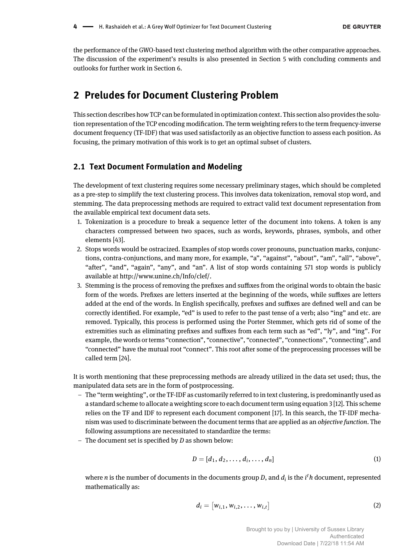the performance of the GWO-based text clustering method algorithm with the other comparative approaches. The discussion of the experiment's results is also presented in Section 5 with concluding comments and outlooks for further work in Section 6.

# **2 Preludes for Document Clustering Problem**

This section describes how TCP can be formulated in optimization context. This section also provides the solution representation of the TCP encoding modification. The term weighting refers to the term frequency-inverse document frequency (TF-IDF) that was used satisfactorily as an objective function to assess each position. As focusing, the primary motivation of this work is to get an optimal subset of clusters.

#### **2.1 Text Document Formulation and Modeling**

The development of text clustering requires some necessary preliminary stages, which should be completed as a pre-step to simplify the text clustering process. This involves data tokenization, removal stop word, and stemming. The data preprocessing methods are required to extract valid text document representation from the available empirical text document data sets.

- 1. Tokenization is a procedure to break a sequence letter of the document into tokens. A token is any characters compressed between two spaces, such as words, keywords, phrases, symbols, and other elements [43].
- 2. Stops words would be ostracized. Examples of stop words cover pronouns, punctuation marks, conjunctions, contra-conjunctions, and many more, for example, "a", "against", "about", "am", "all", "above", "after", "and", "again", "any", and "an". A list of stop words containing 571 stop words is publicly available at http://www.unine.ch/Info/clef/.
- 3. Stemming is the process of removing the prefixes and suffixes from the original words to obtain the basic form of the words. Prefixes are letters inserted at the beginning of the words, while suffixes are letters added at the end of the words. In English specifically, prefixes and suffixes are defined well and can be correctly identified. For example, "ed" is used to refer to the past tense of a verb; also "ing" and etc. are removed. Typically, this process is performed using the Porter Stemmer, which gets rid of some of the extremities such as eliminating prefixes and suffixes from each term such as "ed", "ly", and "ing". For example, the words or terms "connection", "connective", "connected", "connections", "connecting", and "connected" have the mutual root "connect". This root after some of the preprocessing processes will be called term [24].

It is worth mentioning that these preprocessing methods are already utilized in the data set used; thus, the manipulated data sets are in the form of postprocessing.

- The "term weighting", or the TF-IDF as customarily referred to in text clustering, is predominantly used as a standard scheme to allocate a weighting score to each document term using equation 3 [12]. This scheme relies on the TF and IDF to represent each document component [17]. In this search, the TF-IDF mechanism was used to discriminate between the document terms that are applied as an *objective function*. The following assumptions are necessitated to standardize the terms:
- $-$  The document set is specified by *D* as shown below:

$$
D = [d_1, d_2, \dots, d_i, \dots, d_n]
$$
 (1)

where *n* is the number of documents in the documents group *D*, and *d<sup>i</sup>* is the *i t h* document, represented mathematically as:

$$
d_i = [w_{i,1}, w_{i,2}, \dots, w_{i,t}]
$$
 (2)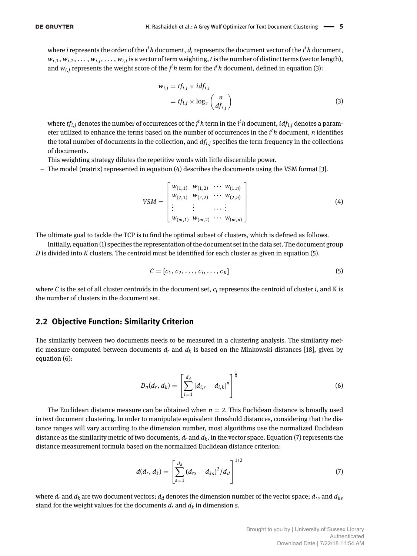where *i* represents the order of the  $i^t h$  document,  $d_i$  represents the document vector of the  $i^t h$  document,  $w_{i,1}, w_{i,2}, \ldots, w_{i,j}, \ldots, w_{i,t}$  is a vector of term weighting,  $t$  is the number of distinct terms (vector length), and  $w_{i,j}$  represents the weight score of the  $j^th$  term for the  $i^th$  document, defined in equation (3):

$$
w_{i,j} = tf_{i,j} \times idf_{i,j}
$$
  
=  $tf_{i,j} \times \log_2\left(\frac{n}{df_{i,j}}\right)$  (3)

where  $tf_{i,j}$  denotes the number of occurrences of the  $j^th$  term in the  $i^th$  document,  $idf_{i,j}$  denotes a parameter utilized to enhance the terms based on the number of occurrences in the *i t h* document, *n* identifies the total number of documents in the collection, and  $df<sub>i,j</sub>$  specifies the term frequency in the collections of documents.

This weighting strategy dilutes the repetitive words with little discernible power.

 $-$  The model (matrix) represented in equation (4) describes the documents using the VSM format [3].

$$
VSM = \begin{bmatrix} w_{(1,1)} & w_{(1,2)} & \cdots & w_{(1,n)} \\ w_{(2,1)} & w_{(2,2)} & \cdots & w_{(2,n)} \\ \vdots & \vdots & \ddots & \vdots \\ w_{(m,1)} & w_{(m,2)} & \cdots & w_{(m,n)} \end{bmatrix} \tag{4}
$$

The ultimate goal to tackle the TCP is to find the optimal subset of clusters, which is defined as follows.

Initially, equation (1) specifies the representation of the document set in the data set. The document group *D* is divided into *K* clusters. The centroid must be identified for each cluster as given in equation (5).

$$
C = [c_1, c_2, \ldots, c_i, \ldots, c_K]
$$
\n
$$
(5)
$$

where  $C$  is the set of all cluster centroids in the document set,  $c_i$  represents the centroid of cluster  $i$ , and  $K$  is the number of clusters in the document set.

#### **2.2 Objective Function: Similarity Criterion**

The similarity between two documents needs to be measured in a clustering analysis. The similarity metric measure computed between documents *d<sup>r</sup>* and *d<sup>k</sup>* is based on the Minkowski distances [18], given by equation (6):

$$
D_n(d_r, d_k) = \left[\sum_{i=1}^{d_d} |d_{i,r} - d_{i,k}|^n\right]^{\frac{1}{n}}
$$
(6)

The Euclidean distance measure can be obtained when  $n = 2$ . This Euclidean distance is broadly used in text document clustering. In order to manipulate equivalent threshold distances, considering that the distance ranges will vary according to the dimension number, most algorithms use the normalized Euclidean distance as the similarity metric of two documents,  $d_r$  and  $d_k$ , in the vector space. Equation (7) represents the distance measurement formula based on the normalized Euclidean distance criterion:

$$
d(d_r, d_k) = \left[\sum_{s=1}^{d_d} (d_{rs} - d_{ks})^2 / d_d\right]^{1/2}
$$
\n(7)

where  $d_r$  and  $d_k$  are two document vectors;  $d_d$  denotes the dimension number of the vector space;  $d_{rs}$  and  $d_{ks}$ stand for the weight values for the documents  $d_r$  and  $d_k$  in dimension  $s$ .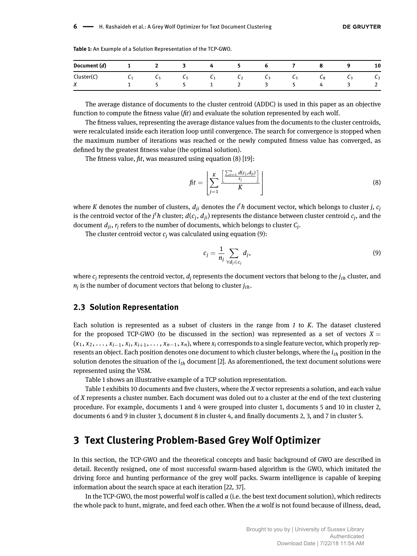| Document (d) | $\mathbf{1}$    | $\overline{2}$        | 3            | 4              | $\mathbf{z}$          | ь  |    |                |    | 10             |
|--------------|-----------------|-----------------------|--------------|----------------|-----------------------|----|----|----------------|----|----------------|
| Cluster(C)   | $\mathcal{C}_1$ | <b>C</b> <sub>5</sub> | <b>L5</b>    | $\mathsf{c}_1$ | <b>L</b> <sub>2</sub> | L٩ | L5 | L <sub>8</sub> | Lз | C <sub>2</sub> |
| $\lambda$    |                 |                       | $\mathbf{z}$ |                | <u>_</u>              |    |    |                |    | $\mathcal{L}$  |

**Table 1:** An Example of a Solution Representation of the TCP-GWO.

The average distance of documents to the cluster centroid (ADDC) is used in this paper as an objective function to compute the fitness value (*fit*) and evaluate the solution represented by each wolf.

The fitness values, representing the average distance values from the documents to the cluster centroids, were recalculated inside each iteration loop until convergence. The search for convergence is stopped when the maximum number of iterations was reached or the newly computed fitness value has converged, as defined by the greatest fitness value (the optimal solution).

The fitness value, *fit*, was measured using equation (8) [19]:

$$
fit = \left[ \sum_{j=1}^{K} \frac{\left[ \frac{\sum_{i=1}^{n} d(c_j, d_{ji})}{r_j} \right]}{K} \right]
$$
(8)

where  $K$  denotes the number of clusters,  $d_{ji}$  denotes the  $i^th$  document vector, which belongs to cluster  $j$ ,  $c_j$ is the centroid vector of the  $j^th$  cluster;  $d(c_j, d_{ji})$  represents the distance between cluster centroid  $c_j$ , and the document  $d_{ji}$ ,  $r_j$  refers to the number of documents, which belongs to cluster  $\mathcal{C}_j$ .

The cluster centroid vector  $c_i$  was calculated using equation (9):

$$
c_j = \frac{1}{n_j} \sum_{\forall d_j \in c_j} d_j,
$$
\n(9)

where  $c_j$  represents the centroid vector,  $d_j$  represents the document vectors that belong to the  $j_{th}$  cluster, and *nj* is the number of document vectors that belong to cluster *jth*.

#### **2.3 Solution Representation**

Each solution is represented as a subset of clusters in the range from *1* to *K*. The dataset clustered for the proposed TCP-GWO (to be discussed in the section) was represented as a set of vectors  $X =$  $(x_1, x_2, \ldots, x_{i-1}, x_i, x_{i+1}, \ldots, x_{n-1}, x_n)$ , where  $x_i$  corresponds to a single feature vector, which properly represents an object. Each position denotes one document to which cluster belongs, where the *ith* position in the solution denotes the situation of the *ith* document [2]. As aforementioned, the text document solutions were represented using the VSM.

Table 1 shows an illustrative example of a TCP solution representation.

Table 1 exhibits 10 documents and five clusters, where the *X* vector represents a solution, and each value of *X* represents a cluster number. Each document was doled out to a cluster at the end of the text clustering procedure. For example, documents 1 and 4 were grouped into cluster 1, documents 5 and 10 in cluster 2, documents 6 and 9 in cluster 3, document 8 in cluster 4, and finally documents 2, 3, and 7 in cluster 5.

# **3 Text Clustering Problem-Based Grey Wolf Optimizer**

In this section, the TCP-GWO and the theoretical concepts and basic background of GWO are described in detail. Recently resigned, one of most successful swarm-based algorithm is the GWO, which imitated the driving force and hunting performance of the grey wolf packs. Swarm intelligence is capable of keeping information about the search space at each iteration [22, 37].

In the TCP-GWO, the most powerful wolf is called *α* (i.e. the best text document solution), which redirects the whole pack to hunt, migrate, and feed each other. When the *α* wolf is not found because of illness, dead,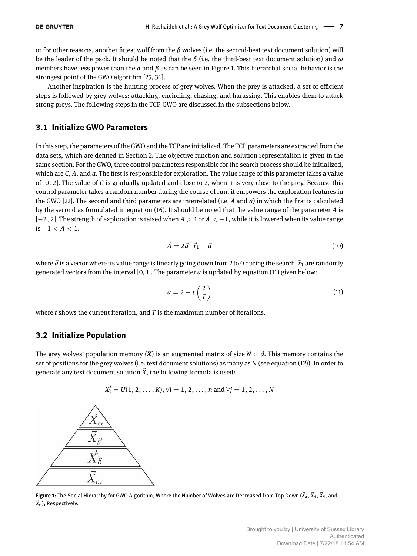or for other reasons, another fittest wolf from the *β* wolves (i.e. the second-best text document solution) will be the leader of the pack. It should be noted that the *δ* (i.e. the third-best text document solution) and *ω* members have less power than the *α* and *β* as can be seen in Figure 1. This hierarchal social behavior is the strongest point of the GWO algorithm [25, 36].

Another inspiration is the hunting process of grey wolves. When the prey is attacked, a set of efficient steps is followed by grey wolves: attacking, encircling, chasing, and harassing. This enables them to attack strong preys. The following steps in the TCP-GWO are discussed in the subsections below.

# **3.1 Initialize GWO Parameters**

In this step, the parameters of the GWO and the TCP are initialized. The TCP parameters are extracted from the data sets, which are defined in Section 2. The objective function and solution representation is given in the same section. For the GWO, three control parameters responsible for the search process should be initialized, which are *C*, *A*, and *a*. The first is responsible for exploration. The value range of this parameter takes a value of [0, 2]. The value of *C* is gradually updated and close to 2, when it is very close to the prey. Because this control parameter takes a random number during the course of run, it empowers the exploration features in the GWO [22]. The second and third parameters are interrelated (i.e. *A* and *a*) in which the first is calculated by the second as formulated in equation (16). It should be noted that the value range of the parameter *A* is [−2, 2]. The strength of exploration is raised when *A* > 1 or *A* < −1, while it is lowered when its value range is −1 < *A* < 1.

$$
\vec{A} = 2\vec{a} \cdot \vec{r}_1 - \vec{a} \tag{10}
$$

where  $\vec{a}$  is a vector where its value range is linearly going down from 2 to 0 during the search.  $\vec{r}_1$  are randomly generated vectors from the interval  $[0, 1]$ . The parameter  $a$  is updated by equation  $(11)$  given below:

$$
a = 2 - t\left(\frac{2}{T}\right) \tag{11}
$$

where *t* shows the current iteration, and *T* is the maximum number of iterations.

## **3.2 Initialize Population**

The grey wolves' population memory  $(X)$  is an augmented matrix of size  $N \times d$ . This memory contains the set of positions for the grey wolves (i.e. text document solutions) as many as *N* (see equation (12)). In order to generate any text document solution  $\vec{X}$ , the following formula is used:

$$
X_i^j = U(1, 2, ..., K), \forall i = 1, 2, ..., n \text{ and } \forall j = 1, 2, ..., N
$$



**Figure 1:** The Social Hierarchy for GWO Algorithm, Where the Number of Wolves are Decreased from Top Down (⃗*Xα*, ⃗*Xβ*, ⃗*Xδ*, and ⃗*Xω*), Respectively.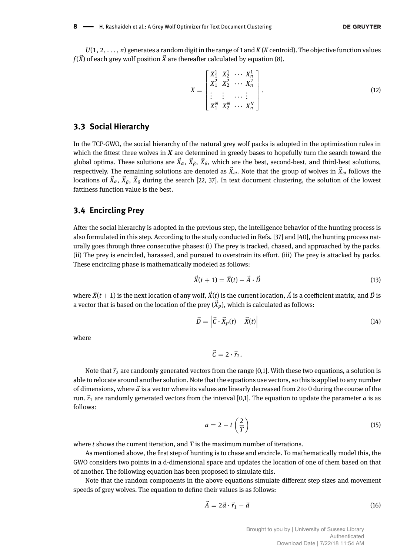*U*(1, 2, *. . .* , *n*) generates a random digit in the range of 1 and *K* (*K* centroid). The objective function values  $f(\vec{X})$  of each grey wolf position  $\vec{X}$  are thereafter calculated by equation (8).

$$
X = \begin{bmatrix} X_1^1 & X_2^1 & \cdots & X_n^1 \\ X_1^2 & X_2^2 & \cdots & X_n^2 \\ \vdots & \vdots & \cdots & \vdots \\ X_1^N & X_2^N & \cdots & X_n^N \end{bmatrix} .
$$
 (12)

## **3.3 Social Hierarchy**

In the TCP-GWO, the social hierarchy of the natural grey wolf packs is adopted in the optimization rules in which the fittest three wolves in *X* are determined in greedy bases to hopefully turn the search toward the global optima. These solutions are  $\vec{X}_\alpha,\,\vec{X}_\beta,\,\vec{X}_\delta,$  which are the best, second-best, and third-best solutions, respectively. The remaining solutions are denoted as  $\vec{X}_\omega$ . Note that the group of wolves in  $\vec{X}_\omega$  follows the locations of  $\vec{X}_\alpha$ ,  $\vec{X}_\beta$ ,  $\vec{X}_\delta$  during the search [22, 37]. In text document clustering, the solution of the lowest fattiness function value is the best.

## **3.4 Encircling Prey**

After the social hierarchy is adopted in the previous step, the intelligence behavior of the hunting process is also formulated in this step. According to the study conducted in Refs. [37] and [40], the hunting process naturally goes through three consecutive phases: (i) The prey is tracked, chased, and approached by the packs. (ii) The prey is encircled, harassed, and pursued to overstrain its effort. (iii) The prey is attacked by packs. These encircling phase is mathematically modeled as follows:

$$
\vec{X}(t+1) = \vec{X}(t) - \vec{A} \cdot \vec{D} \tag{13}
$$

where  $\vec{X}(t+1)$  is the next location of any wolf,  $\vec{X}(t)$  is the current location,  $\vec{A}$  is a coefficient matrix, and  $\vec{D}$  is a vector that is based on the location of the prey  $(\vec{X}_p)$ , which is calculated as follows:

$$
\vec{D} = \left| \vec{C} \cdot \vec{X}_p(t) - \vec{X}(t) \right| \tag{14}
$$

where

 $\vec{C} = 2 \cdot \vec{r}_2$ .

Note that  $\vec{r}_2$  are randomly generated vectors from the range [0,1]. With these two equations, a solution is able to relocate around another solution. Note that the equations use vectors, so this is applied to any number of dimensions, where  $\vec{a}$  is a vector where its values are linearly decreased from 2 to 0 during the course of the run.  $\vec{r}_1$  are randomly generated vectors from the interval [0,1]. The equation to update the parameter *a* is as follows:

$$
a = 2 - t\left(\frac{2}{T}\right) \tag{15}
$$

where *t* shows the current iteration, and *T* is the maximum number of iterations.

As mentioned above, the first step of hunting is to chase and encircle. To mathematically model this, the GWO considers two points in a d-dimensional space and updates the location of one of them based on that of another. The following equation has been proposed to simulate this.

Note that the random components in the above equations simulate different step sizes and movement speeds of grey wolves. The equation to define their values is as follows:

$$
\vec{A} = 2\vec{a} \cdot \vec{r}_1 - \vec{a} \tag{16}
$$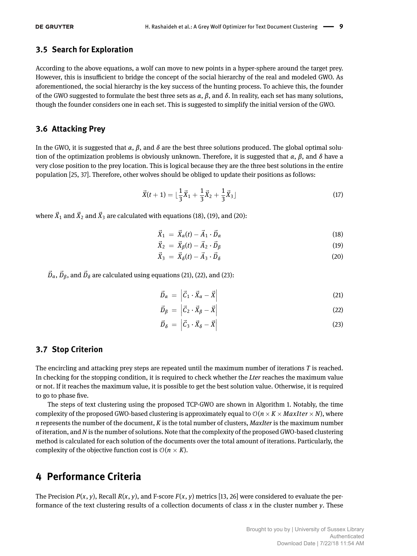## **3.5 Search for Exploration**

According to the above equations, a wolf can move to new points in a hyper-sphere around the target prey. However, this is insufficient to bridge the concept of the social hierarchy of the real and modeled GWO. As aforementioned, the social hierarchy is the key success of the hunting process. To achieve this, the founder of the GWO suggested to formulate the best three sets as  $\alpha$ ,  $\beta$ , and  $\delta$ . In reality, each set has many solutions, though the founder considers one in each set. This is suggested to simplify the initial version of the GWO.

## **3.6 Attacking Prey**

In the GWO, it is suggested that *α*, *β*, and *δ* are the best three solutions produced. The global optimal solution of the optimization problems is obviously unknown. Therefore, it is suggested that *α*, *β*, and *δ* have a very close position to the prey location. This is logical because they are the three best solutions in the entire population [25, 37]. Therefore, other wolves should be obliged to update their positions as follows:

$$
\vec{X}(t+1) = \lfloor \frac{1}{3}\vec{X}_1 + \frac{1}{3}\vec{X}_2 + \frac{1}{3}\vec{X}_3 \rfloor
$$
\n(17)

where  $\vec{X}_1$  and  $\vec{X}_2$  and  $\vec{X}_3$  are calculated with equations (18), (19), and (20):

$$
\vec{X}_1 = \vec{X}_\alpha(t) - \vec{A}_1 \cdot \vec{D}_\alpha \tag{18}
$$

$$
\vec{X}_2 = \vec{X}_\beta(t) - \vec{A}_2 \cdot \vec{D}_\beta \tag{19}
$$

$$
\vec{X}_3 = \vec{X}_\delta(t) - \vec{A}_3 \cdot \vec{D}_\delta \tag{20}
$$

 $\vec{D}_{\alpha}$ ,  $\vec{D}_{\beta}$ , and  $\vec{D}_{\delta}$  are calculated using equations (21), (22), and (23):

$$
\vec{D}_{\alpha} = \left| \vec{C}_1 \cdot \vec{X}_{\alpha} - \vec{X} \right| \tag{21}
$$

$$
\vec{D}_{\beta} = \left| \vec{C}_2 \cdot \vec{X}_{\beta} - \vec{X} \right| \tag{22}
$$

$$
\vec{D}_{\delta} = \left| \vec{C}_3 \cdot \vec{X}_{\delta} - \vec{X} \right| \tag{23}
$$

## **3.7 Stop Criterion**

The encircling and attacking prey steps are repeated until the maximum number of iterations *T* is reached. In checking for the stopping condition, it is required to check whether the *Lter* reaches the maximum value or not. If it reaches the maximum value, it is possible to get the best solution value. Otherwise, it is required to go to phase five.

The steps of text clustering using the proposed TCP-GWO are shown in Algorithm 1. Notably, the time complexity of the proposed GWO-based clustering is approximately equal to  $\mathcal{O}(n \times K \times MaxIter \times N)$ , where *n* represents the number of the document, *K* is the total number of clusters, *MaxIter* is the maximum number of iteration, and *N* is the number of solutions. Note that the complexity of the proposed GWO-based clustering method is calculated for each solution of the documents over the total amount of iterations. Particularly, the complexity of the objective function cost is  $O(n \times K)$ .

# **4 Performance Criteria**

The Precision  $P(x, y)$ , Recall  $R(x, y)$ , and F-score  $F(x, y)$  metrics [13, 26] were considered to evaluate the performance of the text clustering results of a collection documents of class *x* in the cluster number *y*. These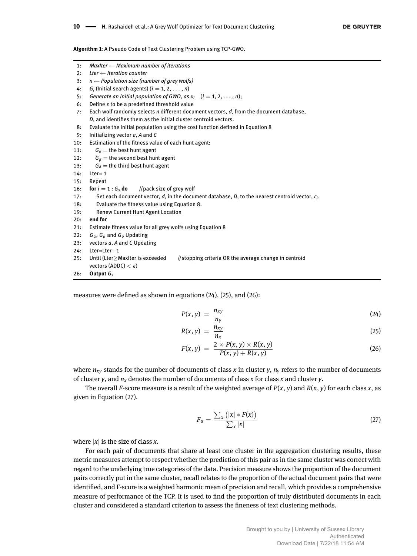**Algorithm 1:** A Pseudo Code of Text Clustering Problem using TCP-GWO.

1: *MaxIter* ← *Maximum number of iterations*

| 2:  | Lter $\leftarrow$ Iteration counter                                                                     |
|-----|---------------------------------------------------------------------------------------------------------|
| 3:  | $n \leftarrow$ Population size (number of grey wolfs)                                                   |
| 4:  | $G_i$ (Initial search agents) ( $i = 1, 2, \ldots, n$ )                                                 |
| 5:  | Generate an initial population of GWO, as $x_i$ $(i = 1, 2, , n)$ ;                                     |
| 6:  | Define $\epsilon$ to be a predefined threshold value                                                    |
| 7:  | Each wolf randomly selects n different document vectors, d, from the document database,                 |
|     | D, and identifies them as the initial cluster centroid vectors.                                         |
| 8:  | Evaluate the initial population using the cost function defined in Equation 8                           |
| 9:  | Initializing vector a, A and C                                                                          |
| 10: | Estimation of the fitness value of each hunt agent;                                                     |
| 11: | $G_{\alpha}$ = the best hunt agent                                                                      |
| 12: | $G_{\beta}$ = the second best hunt agent                                                                |
| 13: | $G_{\delta}$ = the third best hunt agent                                                                |
| 14: | $Iter=1$                                                                                                |
| 15: | Repeat                                                                                                  |
| 16: | <b>for</b> $i = 1 : G_s$ <b>do</b> //pack size of grey wolf                                             |
| 17: | Set each document vector, $d$ , in the document database, $D$ , to the nearest centroid vector, $c_i$ . |
| 18: | Evaluate the fitness value using Equation 8.                                                            |
| 19: | <b>Renew Current Hunt Agent Location</b>                                                                |
| 20: | end for                                                                                                 |
| 21: | Estimate fitness value for all grey wolfs using Equation 8                                              |
| 22: | $G_{\alpha}$ , $G_{\beta}$ and $G_{\delta}$ Updating                                                    |
| 23: | vectors a, A and C Updating                                                                             |
| 24: | $Lter= Lter+1$                                                                                          |
| 25: | //stopping criteria OR the average change in centroid<br>Until (Lter>MaxIter is exceeded                |
|     | vectors (ADDC) $< \epsilon$ )                                                                           |
| 26: | Output $G_{s}$                                                                                          |

measures were defined as shown in equations (24), (25), and (26):

$$
P(x, y) = \frac{n_{xy}}{n_y} \tag{24}
$$

$$
R(x, y) = \frac{n_{xy}}{n_x} \tag{25}
$$

$$
F(x, y) = \frac{2 \times P(x, y) \times R(x, y)}{P(x, y) + R(x, y)}
$$
\n(26)

where  $n_{XY}$  stands for the number of documents of class *x* in cluster *y*,  $n_Y$  refers to the number of documents of cluster *y*, and *n<sup>x</sup>* denotes the number of documents of class *x* for class *x* and cluster *y*.

The overall *F*-score measure is a result of the weighted average of  $P(x, y)$  and  $R(x, y)$  for each class *x*, as given in Equation (27).

$$
F_a = \frac{\sum_x \left( |x| * F(x) \right)}{\sum_x |x|} \tag{27}
$$

where  $|x|$  is the size of class *x*.

For each pair of documents that share at least one cluster in the aggregation clustering results, these metric measures attempt to respect whether the prediction of this pair as in the same cluster was correct with regard to the underlying true categories of the data. Precision measure shows the proportion of the document pairs correctly put in the same cluster, recall relates to the proportion of the actual document pairs that were identified, and F-score is a weighted harmonic mean of precision and recall, which provides a comprehensive measure of performance of the TCP. It is used to find the proportion of truly distributed documents in each cluster and considered a standard criterion to assess the fineness of text clustering methods.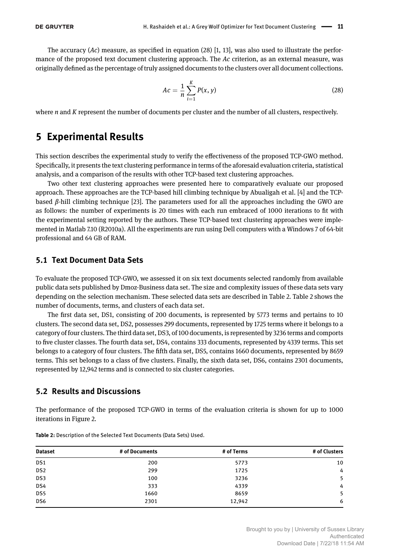The accuracy (*Ac*) measure, as specified in equation (28) [1, 13], was also used to illustrate the performance of the proposed text document clustering approach. The *Ac* criterion, as an external measure, was originally defined as the percentage of truly assigned documents to the clusters over all document collections.

$$
Ac = \frac{1}{n} \sum_{i=1}^{K} P(x, y)
$$
 (28)

where *n* and *K* represent the number of documents per cluster and the number of all clusters, respectively.

# **5 Experimental Results**

This section describes the experimental study to verify the effectiveness of the proposed TCP-GWO method. Specifically, it presents the text clustering performance in terms of the aforesaid evaluation criteria, statistical analysis, and a comparison of the results with other TCP-based text clustering approaches.

Two other text clustering approaches were presented here to comparatively evaluate our proposed approach. These approaches are the TCP-based hill climbing technique by Abualigah et al. [4] and the TCPbased *β*-hill climbing technique [23]. The parameters used for all the approaches including the GWO are as follows: the number of experiments is 20 times with each run embraced of 1000 iterations to fit with the experimental setting reported by the authors. These TCP-based text clustering approaches were implemented in Matlab 7.10 (R2010a). All the experiments are run using Dell computers with a Windows 7 of 64-bit professional and 64 GB of RAM.

## **5.1 Text Document Data Sets**

To evaluate the proposed TCP-GWO, we assessed it on six text documents selected randomly from available public data sets published by Dmoz-Business data set. The size and complexity issues of these data sets vary depending on the selection mechanism. These selected data sets are described in Table 2. Table 2 shows the number of documents, terms, and clusters of each data set.

The first data set, DS1, consisting of 200 documents, is represented by 5773 terms and pertains to 10 clusters. The second data set, DS2, possesses 299 documents, represented by 1725 terms where it belongs to a category of four clusters. The third data set, DS3, of 100 documents, is represented by 3236 terms and comports to five cluster classes. The fourth data set, DS4, contains 333 documents, represented by 4339 terms. This set belongs to a category of four clusters. The fifth data set, DS5, contains 1660 documents, represented by 8659 terms. This set belongs to a class of five clusters. Finally, the sixth data set, DS6, contains 2301 documents, represented by 12,942 terms and is connected to six cluster categories.

## **5.2 Results and Discussions**

The performance of the proposed TCP-GWO in terms of the evaluation criteria is shown for up to 1000 iterations in Figure 2.

| <b>Dataset</b>  | # of Documents | # of Terms | # of Clusters |
|-----------------|----------------|------------|---------------|
| DS <sub>1</sub> | 200            | 5773       | 10            |
| DS <sub>2</sub> | 299            | 1725       | $4^{\circ}$   |
| DS3             | 100            | 3236       | 5             |
| DS4             | 333            | 4339       | $4^{\circ}$   |
| DS5             | 1660           | 8659       | 5             |
| DS6             | 2301           | 12,942     | 6             |

**Table 2:** Description of the Selected Text Documents (Data Sets) Used.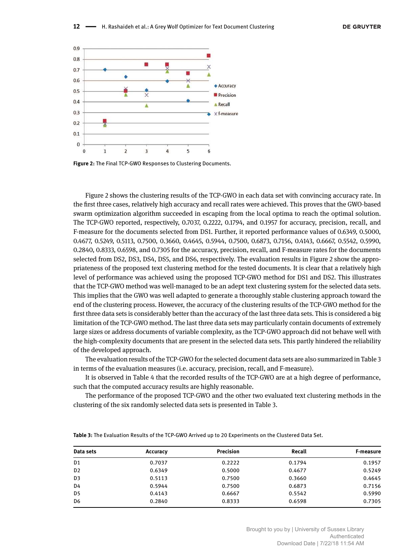

**Figure 2:** The Final TCP-GWO Responses to Clustering Documents.

Figure 2 shows the clustering results of the TCP-GWO in each data set with convincing accuracy rate. In the first three cases, relatively high accuracy and recall rates were achieved. This proves that the GWO-based swarm optimization algorithm succeeded in escaping from the local optima to reach the optimal solution. The TCP-GWO reported, respectively, 0.7037, 0.2222, 0.1794, and 0.1957 for accuracy, precision, recall, and F-measure for the documents selected from DS1. Further, it reported performance values of 0.6349, 0.5000, 0.4677, 0.5249, 0.5113, 0.7500, 0.3660, 0.4645, 0.5944, 0.7500, 0.6873, 0.7156, 0.4143, 0.6667, 0.5542, 0.5990, 0.2840, 0.8333, 0.6598, and 0.7305 for the accuracy, precision, recall, and F-measure rates for the documents selected from DS2, DS3, DS4, DS5, and DS6, respectively. The evaluation results in Figure 2 show the appropriateness of the proposed text clustering method for the tested documents. It is clear that a relatively high level of performance was achieved using the proposed TCP-GWO method for DS1 and DS2. This illustrates that the TCP-GWO method was well-managed to be an adept text clustering system for the selected data sets. This implies that the GWO was well adapted to generate a thoroughly stable clustering approach toward the end of the clustering process. However, the accuracy of the clustering results of the TCP-GWO method for the first three data sets is considerably better than the accuracy of the last three data sets. This is considered a big limitation of the TCP-GWO method. The last three data sets may particularly contain documents of extremely large sizes or address documents of variable complexity, as the TCP-GWO approach did not behave well with the high-complexity documents that are present in the selected data sets. This partly hindered the reliability of the developed approach.

The evaluation results of the TCP-GWO for the selected document data sets are also summarized in Table 3 in terms of the evaluation measures (i.e. accuracy, precision, recall, and F-measure).

It is observed in Table 4 that the recorded results of the TCP-GWO are at a high degree of performance, such that the computed accuracy results are highly reasonable.

The performance of the proposed TCP-GWO and the other two evaluated text clustering methods in the clustering of the six randomly selected data sets is presented in Table 3.

| <b>Table 3:</b> The Evaluation Results of the TCP-GWO Arrived up to 20 Experiments on the Clustered Data Set. |  |  |  |  |  |  |  |  |  |  |  |  |  |  |
|---------------------------------------------------------------------------------------------------------------|--|--|--|--|--|--|--|--|--|--|--|--|--|--|
|---------------------------------------------------------------------------------------------------------------|--|--|--|--|--|--|--|--|--|--|--|--|--|--|

| Data sets      | Accuracy | <b>Precision</b> | Recall | F-measure |
|----------------|----------|------------------|--------|-----------|
| D <sub>1</sub> | 0.7037   | 0.2222           | 0.1794 | 0.1957    |
| D <sub>2</sub> | 0.6349   | 0.5000           | 0.4677 | 0.5249    |
| D3             | 0.5113   | 0.7500           | 0.3660 | 0.4645    |
| D4             | 0.5944   | 0.7500           | 0.6873 | 0.7156    |
| D5             | 0.4143   | 0.6667           | 0.5542 | 0.5990    |
| D <sub>6</sub> | 0.2840   | 0.8333           | 0.6598 | 0.7305    |

Brought to you by | University of Sussex Library Authenticated Download Date | 7/22/18 11:54 AM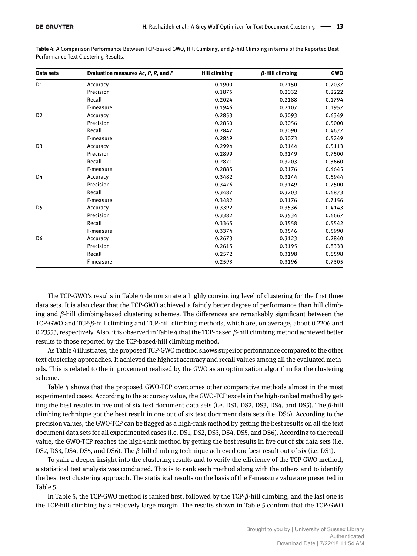| GWO    | $\beta$ -Hill climbing | <b>Hill climbing</b> | Evaluation measures Ac, P, R, and F | Data sets      |
|--------|------------------------|----------------------|-------------------------------------|----------------|
| 0.7037 | 0.2150                 | 0.1900               | Accuracy                            | D <sub>1</sub> |
| 0.2222 | 0.2032                 | 0.1875               | Precision                           |                |
| 0.1794 | 0.2188                 | 0.2024               | Recall                              |                |
| 0.1957 | 0.2107                 | 0.1946               | F-measure                           |                |
| 0.6349 | 0.3093                 | 0.2853               | Accuracy                            | D <sub>2</sub> |
| 0.5000 | 0.3056                 | 0.2850               | Precision                           |                |
| 0.4677 | 0.3090                 | 0.2847               | Recall                              |                |
| 0.5249 | 0.3073                 | 0.2849               | F-measure                           |                |
| 0.5113 | 0.3144                 | 0.2994               | Accuracy                            | D <sub>3</sub> |
| 0.7500 | 0.3149                 | 0.2899               | Precision                           |                |
| 0.3660 | 0.3203                 | 0.2871               | Recall                              |                |
| 0.4645 | 0.3176                 | 0.2885               | F-measure                           |                |
| 0.5944 | 0.3144                 | 0.3482               | Accuracy                            | D4             |
| 0.7500 | 0.3149                 | 0.3476               | Precision                           |                |
| 0.6873 | 0.3203                 | 0.3487               | Recall                              |                |
| 0.7156 | 0.3176                 | 0.3482               | F-measure                           |                |
| 0.4143 | 0.3536                 | 0.3392               | Accuracy                            | D <sub>5</sub> |
| 0.6667 | 0.3534                 | 0.3382               | Precision                           |                |
| 0.5542 | 0.3558                 | 0.3365               | Recall                              |                |
| 0.5990 | 0.3546                 | 0.3374               | F-measure                           |                |
| 0.2840 | 0.3123                 | 0.2673               | Accuracy                            | D <sub>6</sub> |
| 0.8333 | 0.3195                 | 0.2615               | Precision                           |                |
| 0.6598 | 0.3198                 | 0.2572               | Recall                              |                |
| 0.7305 | 0.3196                 | 0.2593               | F-measure                           |                |
|        |                        |                      |                                     |                |

**Table 4:** A Comparison Performance Between TCP-based GWO, Hill Climbing, and *β*-hill Climbing in terms of the Reported Best Performance Text Clustering Results.

The TCP-GWO's results in Table 4 demonstrate a highly convincing level of clustering for the first three data sets. It is also clear that the TCP-GWO achieved a faintly better degree of performance than hill climbing and *β*-hill climbing-based clustering schemes. The differences are remarkably significant between the TCP-GWO and TCP-*β*-hill climbing and TCP-hill climbing methods, which are, on average, about 0.2206 and 0.23553, respectively. Also, it is observed in Table 4 that the TCP-based *β*-hill climbing method achieved better results to those reported by the TCP-based-hill climbing method.

As Table 4 illustrates, the proposed TCP-GWO method shows superior performance compared to the other text clustering approaches. It achieved the highest accuracy and recall values among all the evaluated methods. This is related to the improvement realized by the GWO as an optimization algorithm for the clustering scheme.

Table 4 shows that the proposed GWO-TCP overcomes other comparative methods almost in the most experimented cases. According to the accuracy value, the GWO-TCP excels in the high-ranked method by getting the best results in five out of six text document data sets (i.e. DS1, DS2, DS3, DS4, and DS5). The *β*-hill climbing technique got the best result in one out of six text document data sets (i.e. DS6). According to the precision values, the GWO-TCP can be flagged as a high-rank method by getting the best results on all the text document data sets for all experimented cases (i.e. DS1, DS2, DS3, DS4, DS5, and DS6). According to the recall value, the GWO-TCP reaches the high-rank method by getting the best results in five out of six data sets (i.e. DS2, DS3, DS4, DS5, and DS6). The *β*-hill climbing technique achieved one best result out of six (i.e. DS1).

To gain a deeper insight into the clustering results and to verify the efficiency of the TCP-GWO method, a statistical test analysis was conducted. This is to rank each method along with the others and to identify the best text clustering approach. The statistical results on the basis of the F-measure value are presented in Table 5.

In Table 5, the TCP-GWO method is ranked first, followed by the TCP-*β*-hill climbing, and the last one is the TCP-hill climbing by a relatively large margin. The results shown in Table 5 confirm that the TCP-GWO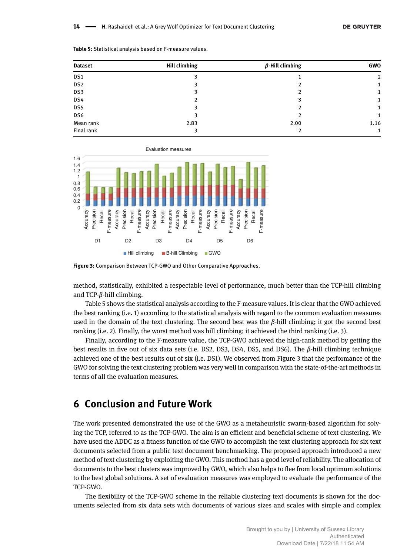| <b>Dataset</b>  | <b>Hill climbing</b> | $\beta$ -Hill climbing | <b>GWO</b> |
|-----------------|----------------------|------------------------|------------|
| DS1             | ٩                    |                        | 2          |
| DS <sub>2</sub> |                      |                        |            |
| DS3             |                      |                        |            |
| DS4             |                      |                        |            |
| DS5             |                      |                        |            |
| DS6             |                      |                        |            |
| Mean rank       | 2.83                 | 2.00                   | 1.16       |
| Final rank      |                      |                        |            |

| Table 5: Statistical analysis based on F-measure values. |  |  |  |  |
|----------------------------------------------------------|--|--|--|--|
|----------------------------------------------------------|--|--|--|--|





method, statistically, exhibited a respectable level of performance, much better than the TCP-hill climbing and TCP-*β*-hill climbing.

Table 5 shows the statistical analysis according to the F-measure values. It is clear that the GWO achieved the best ranking (i.e. 1) according to the statistical analysis with regard to the common evaluation measures used in the domain of the text clustering. The second best was the  $\beta$ -hill climbing; it got the second best ranking (i.e. 2). Finally, the worst method was hill climbing; it achieved the third ranking (i.e. 3).

Finally, according to the F-measure value, the TCP-GWO achieved the high-rank method by getting the best results in five out of six data sets (i.e. DS2, DS3, DS4, DS5, and DS6). The *β*-hill climbing technique achieved one of the best results out of six (i.e. DS1). We observed from Figure 3 that the performance of the GWO for solving the text clustering problem was very well in comparison with the state-of-the-art methods in terms of all the evaluation measures.

# **6 Conclusion and Future Work**

The work presented demonstrated the use of the GWO as a metaheuristic swarm-based algorithm for solving the TCP, referred to as the TCP-GWO. The aim is an efficient and beneficial scheme of text clustering. We have used the ADDC as a fitness function of the GWO to accomplish the text clustering approach for six text documents selected from a public text document benchmarking. The proposed approach introduced a new method of text clustering by exploiting the GWO. This method has a good level of reliability. The allocation of documents to the best clusters was improved by GWO, which also helps to flee from local optimum solutions to the best global solutions. A set of evaluation measures was employed to evaluate the performance of the TCP-GWO.

The flexibility of the TCP-GWO scheme in the reliable clustering text documents is shown for the documents selected from six data sets with documents of various sizes and scales with simple and complex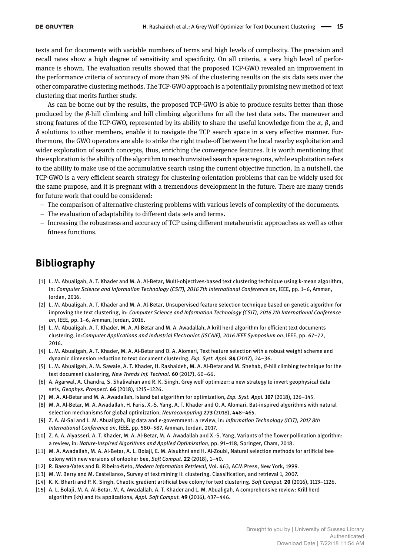texts and for documents with variable numbers of terms and high levels of complexity. The precision and recall rates show a high degree of sensitivity and specificity. On all criteria, a very high level of performance is shown. The evaluation results showed that the proposed TCP-GWO revealed an improvement in the performance criteria of accuracy of more than 9% of the clustering results on the six data sets over the other comparative clustering methods. The TCP-GWO approach is a potentially promising new method of text clustering that merits further study.

As can be borne out by the results, the proposed TCP-GWO is able to produce results better than those produced by the *β*-hill climbing and hill climbing algorithms for all the test data sets. The maneuver and strong features of the TCP-GWO, represented by its ability to share the useful knowledge from the *α*, *β*, and  $\delta$  solutions to other members, enable it to navigate the TCP search space in a very effective manner. Furthermore, the GWO operators are able to strike the right trade-off between the local nearby exploitation and wider exploration of search concepts, thus, enriching the convergence features. It is worth mentioning that the exploration is the ability of the algorithm to reach unvisited search space regions, while exploitation refers to the ability to make use of the accumulative search using the current objective function. In a nutshell, the TCP-GWO is a very efficient search strategy for clustering-orientation problems that can be widely used for the same purpose, and it is pregnant with a tremendous development in the future. There are many trends for future work that could be considered:

- The comparison of alternative clustering problems with various levels of complexity of the documents.
- The evaluation of adaptability to different data sets and terms.
- Increasing the robustness and accuracy of TCP using different metaheuristic approaches as well as other fitness functions.

# **Bibliography**

- [1] L. M. Abualigah, A. T. Khader and M. A. Al-Betar, Multi-objectives-based text clustering technique using k-mean algorithm, in: Computer Science and Information Technology (CSIT), 2016 7th International Conference on, IEEE, pp. 1-6, Amman, Jordan, 2016.
- [2] L. M. Abualigah, A. T. Khader and M. A. Al-Betar, Unsupervised feature selection technique based on genetic algorithm for improving the text clustering, in: *Computer Science and Information Technology (CSIT), 2016 7th International Conference* on, IEEE, pp. 1-6, Amman, Jordan, 2016.
- [3] L. M. Abualigah, A. T. Khader, M. A. Al-Betar and M. A. Awadallah, A krill herd algorithm for efficient text documents clustering, in:Computer Applications and Industrial Electronics (ISCAIE), 2016 IEEE Symposium on, IEEE, pp. 67-72, 2016.
- [4] L. M. Abualigah, A. T. Khader, M. A. Al-Betar and O. A. Alomari, Text feature selection with a robust weight scheme and dynamic dimension reduction to text document clustering, *Exp. Syst. Appl.* 84 (2017), 24-36.
- [5] L. M. Abualigah, A. M. Sawaie, A. T. Khader, H. Rashaideh, M. A. Al-Betar and M. Shehab, *β*-hill climbing technique for the text document clustering, *New Trends Inf. Technol.* 60 (2017), 60-66.
- [6] A. Agarwal, A. Chandra, S. Shalivahan and R. K. Singh, Grey wolf optimizer: a new strategy to invert geophysical data sets, *Geophys. Prospect.* **66** (2018), 1215-1226.
- [7] M. A. Al-Betar and M. A. Awadallah, Island bat algorithm for optimization, *Exp. Syst. Appl.* 107 (2018), 126-145.
- [8] M. A. Al-Betar, M. A. Awadallah, H. Faris, X.-S. Yang, A. T. Khader and O. A. Alomari, Bat-inspired algorithms with natural selection mechanisms for global optimization, *Neurocomputing* 273 (2018), 448-465.
- [9] Z. A. Al-Sai and L. M. Abualigah, Big data and e-government: a review, in: *Information Technology (ICIT), 2017 8th International Conference on*, IEEE, pp. 580-587, Amman, Jordan, 2017.
- [10] Z. A. A. Alyasseri, A. T. Khader, M. A. Al-Betar, M. A. Awadallah and X.-S. Yang, Variants of the flower pollination algorithm: a review, in: *Nature-Inspired Algorithms and Applied Optimization*, pp. 91-118, Springer, Cham, 2018.
- [11] M. A. Awadallah, M. A. Al-Betar, A. L. Bolaji, E. M. Alsukhni and H. Al-Zoubi, Natural selection methods for artificial bee colony with new versions of onlooker bee, *Soft Comput*. **22** (2018), 1-40.
- [12] R. Baeza-Yates and B. Ribeiro-Neto, *Modern Information Retrieval*, Vol. 463, ACM Press, New York, 1999.
- [13] M. W. Berry and M. Castellanos, Survey of text mining ii: clustering. Classification, and retrieval 1, 2007.
- [14] K. K. Bharti and P. K. Singh, Chaotic gradient artificial bee colony for text clustering. *Soft Comput.* 20 (2016), 1113-1126.
- [15] A. L. Bolaji, M. A. Al-Betar, M. A. Awadallah, A. T. Khader and L. M. Abualigah, A comprehensive review: Krill herd algorithm (kh) and its applications, Appl. Soft Comput. 49 (2016), 437-446.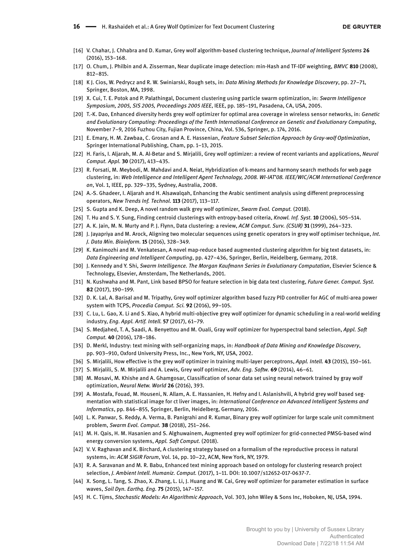- [16] V. Chahar, J. Chhabra and D. Kumar, Grey wolf algorithm-based clustering technique, *Journal of Intelligent Systems* **26**  $(2016)$ , 153-168.
- [17] O. Chum, J. Philbin and A. Zisserman, Near duplicate image detection: min-Hash and TF-IDF weighting, *BMVC* **810** (2008),  $812 - 815$ .
- [18] K J. Cios, W. Pedrycz and R. W. Swiniarski, Rough sets, in: *Data Mining Methods for Knowledge Discovery*, pp. 27–71, Springer, Boston, MA, 1998.
- [19] X. Cui, T. E. Potok and P. Palathingal, Document clustering using particle swarm optimization, in: *Swarm Intelligence Symposium, 2005, SIS 2005, Proceedings 2005 IEEE*, IEEE, pp. 185-191, Pasadena, CA, USA, 2005.
- [20] T.-K. Dao, Enhanced diversity herds grey wolf optimizer for optimal area coverage in wireless sensor networks, in: *Genetic and Evolutionary Computing: Proceedings of the Tenth International Conference on Genetic and Evolutionary Computing*, November 7-9, 2016 Fuzhou City, Fujian Province, China, Vol. 536, Springer, p. 174, 2016.
- [21] E. Emary, H. M. Zawbaa, C. Grosan and A. E. Hassenian, *Feature Subset Selection Approach by Gray-wolf Optimization*, Springer International Publishing, Cham, pp. 1-13, 2015.
- [22] H. Faris, I. Aljarah, M. A. Al-Betar and S. Mirjalili, Grey wolf optimizer: a review of recent variants and applications, *Neural Comput. Appl.* **30** (2017), 413-435.
- [23] R. Forsati, M. Meybodi, M. Mahdavi and A. Neiat, Hybridization of k-means and harmony search methods for web page clustering, in: *Web Intelligence and Intelligent Agent Technology, 2008. WI-IAT'08. IEEE/WIC/ACM International Conference on*, Vol. 1, IEEE, pp. 329-335, Sydney, Australia, 2008.
- [24] A.-S. Ghadeer, I. Aljarah and H. Alsawalqah, Enhancing the Arabic sentiment analysis using different preprocessing operators, *New Trends Inf. Technol*. **113** (2017), 113-117.
- [25] S. Gupta and K. Deep, A novel random walk grey wolf optimizer, *Swarm Evol. Comput.* (2018).
- [26] T. Hu and S. Y. Sung, Finding centroid clusterings with entropy-based criteria, *Knowl. Inf. Syst.* 10 (2006), 505-514.
- [27] A. K. Jain, M. N. Murty and P. J. Flynn, Data clustering: a review, ACM Comput. Surv. (CSUR) 31 (1999), 264-323.
- [28] J. Jayapriya and M. Arock, Aligning two molecular sequences using genetic operators in grey wolf optimiser technique, *Int. J. Data Min. Bioinform.* **15** (2016), 328-349.
- [29] K. Kanimozhi and M. Venkatesan, A novel map-reduce based augmented clustering algorithm for big text datasets, in: *Data Engineering and Intelligent Computing*, pp. 427–436, Springer, Berlin, Heidelberg, Germany, 2018.
- [30] J. Kennedy and Y. Shi, *Swarm Intelligence. The Morgan Kaufmann Series in Evolutionary Computation*, Elsevier Science & Technology, Elsevier, Amsterdam, The Netherlands, 2001.
- [31] N. Kushwaha and M. Pant, Link based BPSO for feature selection in big data text clustering, *Future Gener. Comput. Syst.* **82** (2017), 190-199.
- [32] D. K. Lal, A. Barisal and M. Tripathy, Grey wolf optimizer algorithm based fuzzy PID controller for AGC of multi-area power system with TCPS, Procedia Comput. Sci. 92 (2016), 99-105.
- [33] C. Lu, L. Gao, X. Li and S. Xiao, A hybrid multi-objective grey wolf optimizer for dynamic scheduling in a real-world welding industry, *Eng. Appl. Artif. Intell.* **57** (2017), 61-79.
- [34] S. Medjahed, T. A, Saadi, A. Benyettou and M. Ouali, Gray wolf optimizer for hyperspectral band selection, *Appl. Soft Comput.* 40 (2016), 178-186.
- [35] D. Merkl, Industry: text mining with self-organizing maps, in: *Handbook of Data Mining and Knowledge Discovery*, pp. 903-910, Oxford University Press, Inc., New York, NY, USA, 2002.
- [36] S. Mirjalili, How effective is the grey wolf optimizer in training multi-layer perceptrons, *Appl. Intell.* 43 (2015), 150-161.
- [37] S. Mirjalili, S. M. Mirjalili and A. Lewis, Grey wolf optimizer, Adv. Eng. Softw. 69 (2014), 46-61.
- [38] M. Mosavi, M. Khishe and A. Ghamgosar, Classification of sonar data set using neural network trained by gray wolf optimization, *Neural Netw. World* **26** (2016), 393.
- [39] A. Mostafa, Fouad, M. Houseni, N. Allam, A. E. Hassanien, H. Hefny and I. Aslanishvili, A hybrid grey wolf based segmentation with statistical image for ct liver images, in: *International Conference on Advanced Intelligent Systems and* Informatics, pp. 846-855, Springer, Berlin, Heidelberg, Germany, 2016.
- [40] L. K. Panwar, S. Reddy, A. Verma, B. Panigrahi and R. Kumar, Binary grey wolf optimizer for large scale unit commitment problem, *Swarm Evol. Comput.* 38 (2018), 251-266.
- [41] M. H. Qais, H. M. Hasanien and S. Alghuwainem, Augmented grey wolf optimizer for grid-connected PMSG-based wind energy conversion systems, *Appl. Soft Comput.* (2018).
- [42] V. V. Raghavan and K. Birchard, A clustering strategy based on a formalism of the reproductive process in natural systems, in: ACM SIGIR Forum, Vol. 14, pp. 10-22, ACM, New York, NY, 1979.
- [43] R. A. Saravanan and M. R. Babu, Enhanced text mining approach based on ontology for clustering research project selection, *J. Ambient Intell. Humaniz. Comput.* (2017), 1-11. DOI: 10.1007/s12652-017-0637-7.
- [44] X. Song, L. Tang, S. Zhao, X. Zhang, L. Li, J. Huang and W. Cai, Grey wolf optimizer for parameter estimation in surface waves, *Soil Dyn. Earthq. Eng.* 75 (2015), 147-157.
- [45] H. C. Tijms, *Stochastic Models: An Algorithmic Approach*, Vol. 303, John Wiley & Sons Inc, Hoboken, NJ, USA, 1994.